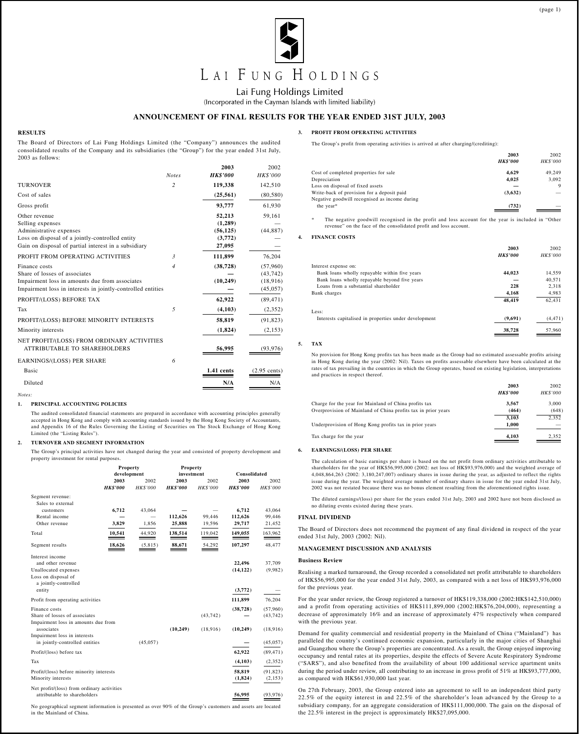

Lai Fung Holdings Limited

(Incorporated in the Cayman Islands with limited liability)

# **ANNOUNCEMENT OF FINAL RESULTS FOR THE YEAR ENDED 31ST JULY, 2003**

# **RESULTS**

The Board of Directors of Lai Fung Holdings Limited (the "Company") announces the audited consolidated results of the Company and its subsidiaries (the "Group") for the year ended 31st July, 2003 as follows:

|                                                                                                                                                                         | <b>Notes</b>   | 2003<br><b>HK\$'000</b>                             | 2002<br>HK\$'000                                |
|-------------------------------------------------------------------------------------------------------------------------------------------------------------------------|----------------|-----------------------------------------------------|-------------------------------------------------|
| <b>TURNOVER</b>                                                                                                                                                         | $\overline{c}$ | 119,338                                             | 142,510                                         |
| Cost of sales                                                                                                                                                           |                | (25, 561)                                           | (80, 580)                                       |
| Gross profit                                                                                                                                                            |                | 93,777                                              | 61,930                                          |
| Other revenue<br>Selling expenses<br>Administrative expenses<br>Loss on disposal of a jointly-controlled entity<br>Gain on disposal of partial interest in a subsidiary |                | 52,213<br>(1,289)<br>(56, 125)<br>(3,772)<br>27,095 | 59,161<br>(44, 887)                             |
| PROFIT FROM OPERATING ACTIVITIES                                                                                                                                        | 3              | 111,899                                             | 76,204                                          |
| Finance costs<br>Share of losses of associates<br>Impairment loss in amounts due from associates<br>Impairment loss in interests in jointly-controlled entities         | $\overline{4}$ | (38, 728)<br>(10, 249)                              | (57,960)<br>(43, 742)<br>(18, 916)<br>(45, 057) |
| PROFIT/(LOSS) BEFORE TAX                                                                                                                                                |                | 62,922                                              | (89, 471)                                       |
| Tax                                                                                                                                                                     | 5              | (4,103)                                             | (2,352)                                         |
| PROFIT/(LOSS) BEFORE MINORITY INTERESTS                                                                                                                                 |                | 58,819                                              | (91, 823)                                       |
| Minority interests                                                                                                                                                      |                | (1, 824)                                            | (2,153)                                         |
| NET PROFIT/(LOSS) FROM ORDINARY ACTIVITIES<br><b>ATTRIBUTABLE TO SHAREHOLDERS</b>                                                                                       |                | 56,995                                              | (93, 976)                                       |
| EARNINGS/(LOSS) PER SHARE                                                                                                                                               | 6              |                                                     |                                                 |
| Basic                                                                                                                                                                   |                | 1.41 cents                                          | $(2.95$ cents)                                  |
| Diluted<br>Notes:                                                                                                                                                       |                | N/A                                                 | N/A                                             |

# **1. PRINCIPAL ACCOUNTING POLICIES**

The audited consolidated financial statements are prepared in accordance with accounting principles generally accepted in Hong Kong and comply with accounting standards issued by the Hong Kong Society of Accountants, and Appendix 16 of the Rules Governing the Listing of Securities on The Stock Exchange of Hong Kong Limited (the "Listing Rules").

# **2. TURNOVER AND SEGMENT INFORMATION**

The Group's principal activities have not changed during the year and consisted of property development and property investment for rental purposes.

| Consolidated<br>2002<br>HK\$'000 |
|----------------------------------|
|                                  |
|                                  |
|                                  |
|                                  |
| 43,064                           |
| 99,446                           |
| 21,452                           |
| 163,962                          |
| 48,477                           |
|                                  |
| 37,709                           |
| (9,982)                          |
|                                  |
|                                  |
| 76,204                           |
| (57,960)                         |
| (43, 742)                        |
|                                  |
| (18,916)                         |
|                                  |
| (45, 057)                        |
| (89, 471)                        |
| (2, 352)                         |
| (91, 823)                        |
| (2,153)                          |
| (93, 976)                        |
|                                  |

No geographical segment information is presented as over 90% of the Group's customers and assets are located in the Mainland of China.

# **3. PROFIT FROM OPERATING ACTIVITIES**

The Group's profit from operating activities is arrived at after charging/(crediting):

|                                               | 2003            | 2002            |
|-----------------------------------------------|-----------------|-----------------|
|                                               | <b>HK\$'000</b> | <b>HK\$'000</b> |
| Cost of completed properties for sale         | 4.629           | 49.249          |
| Depreciation                                  | 4.025           | 3.092           |
| Loss on disposal of fixed assets              |                 | 9               |
| Write-back of provision for a deposit paid    | (3,632)         |                 |
| Negative goodwill recognised as income during |                 |                 |
| the year*                                     | (732)           |                 |
|                                               |                 |                 |

The negative goodwill recognised in the profit and loss account for the year is included in "Other revenue" on the face of the consolidated profit and loss account.

## **4. FINANCE COSTS**

|                                                       | 2003            | 2002            |
|-------------------------------------------------------|-----------------|-----------------|
|                                                       | <b>HK\$'000</b> | <b>HK\$'000</b> |
| Interest expense on:                                  |                 |                 |
| Bank loans wholly repayable within five years         | 44,023          | 14,559          |
| Bank loans wholly repayable beyond five years         |                 | 40.571          |
| Loans from a substantial shareholder                  | 228             | 2.318           |
| Bank charges                                          | 4,168           | 4,983           |
|                                                       | 48.419          | 62,431          |
| Less:                                                 |                 |                 |
| Interests capitalised in properties under development | (9,691)         | (4, 471)        |
|                                                       | 38,728          | 57.960          |

#### **5. TAX**

No provision for Hong Kong profits tax has been made as the Group had no estimated assessable profits arising in Hong Kong during the year (2002: Nil). Taxes on profits assessable elsewhere have been calculated at the rates of tax prevailing in the countries in which the Group operates, based on existing legislation, interpretations and practices in respect thereof.

|                                                               | 2003<br><b>HK\$'000</b> | 2002<br><b>HK\$'000</b> |
|---------------------------------------------------------------|-------------------------|-------------------------|
|                                                               |                         |                         |
| Charge for the year for Mainland of China profits tax         | 3.567                   | 3.000                   |
| Overprovision of Mainland of China profits tax in prior years | (464)                   | (648)                   |
|                                                               | 3.103                   | 2.352                   |
| Underprovision of Hong Kong profits tax in prior years        | 1.000                   |                         |
| Tax charge for the year                                       | 4.103                   | 2.352                   |

### **6. EARNINGS/(LOSS) PER SHARE**

The calculation of basic earnings per share is based on the net profit from ordinary activities attributable to shareholders for the year of HK\$56,995,000 (2002: net loss of HK\$93,976,000) and the weighted average of 4,048,864,263 (2002: 3,180,247,007) ordinary shares in issue during the year, as adjusted to reflect the rights issue during the year. The weighted average number of ordinary shares in issue for the year ended 31st July, 2002 was not restated because there was no bonus element resulting from the aforementioned rights issue.

The diluted earnings/(loss) per share for the years ended 31st July, 2003 and 2002 have not been disclosed as no diluting events existed during these years.

# **FINAL DIVIDEND**

The Board of Directors does not recommend the payment of any final dividend in respect of the year ended 31st July, 2003 (2002: Nil).

## **MANAGEMENT DISCUSSION AND ANALYSIS**

### **Business Review**

Realising a marked turnaround, the Group recorded a consolidated net profit attributable to shareholders of HK\$56,995,000 for the year ended 31st July, 2003, as compared with a net loss of HK\$93,976,000 for the previous year.

For the year under review, the Group registered a turnover of HK\$119,338,000 (2002:HK\$142,510,000) and a profit from operating activities of HK\$111,899,000 (2002:HK\$76,204,000), representing a decrease of approximately 16% and an increase of approximately 47% respectively when compared with the previous year.

Demand for quality commercial and residential property in the Mainland of China ("Mainland") has paralleled the country's continued economic expansion, particularly in the major cities of Shanghai and Guangzhou where the Group's properties are concentrated. As a result, the Group enjoyed improving occupancy and rental rates at its properties, despite the effects of Severe Acute Respiratory Syndrome ("SARS"), and also benefited from the availability of about 100 additional service apartment units during the period under review, all contributing to an increase in gross profit of 51% at HK\$93,777,000, as compared with HK\$61,930,000 last year.

On 27th February, 2003, the Group entered into an agreement to sell to an independent third party 22.5% of the equity interest in and 22.5% of the shareholder's loan advanced by the Group to a subsidiary company, for an aggregate consideration of HK\$111,000,000. The gain on the disposal of the 22.5% interest in the project is approximately HK\$27,095,000.